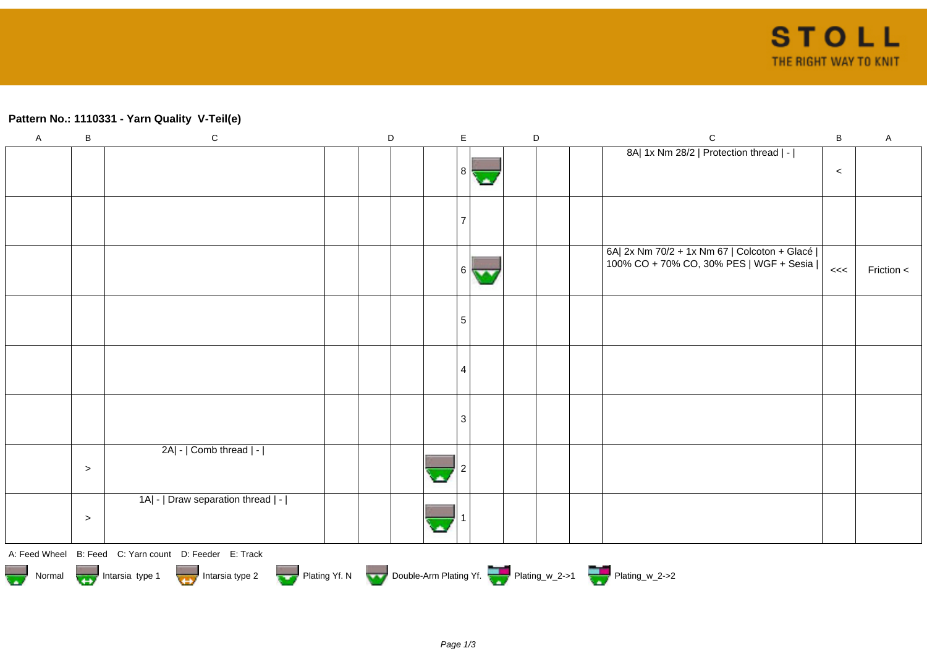## **Pattern No.: 1110331 - Yarn Quality V-Teil(e)**

| $\overline{A}$                                                              | $\sf B$ | ${\bf C}$                                              | $\mathsf D$ |  | $\mathsf E$ |        | $\mathsf D$ |  | $\mathsf{C}$                                                                              | $\mathsf B$ | A          |
|-----------------------------------------------------------------------------|---------|--------------------------------------------------------|-------------|--|-------------|--------|-------------|--|-------------------------------------------------------------------------------------------|-------------|------------|
|                                                                             |         |                                                        |             |  | 8           |        |             |  | 8A  1x Nm 28/2   Protection thread   -                                                    | $\,<$       |            |
|                                                                             |         |                                                        |             |  |             |        |             |  |                                                                                           |             |            |
|                                                                             |         |                                                        |             |  | <b>6</b>    | $\sim$ |             |  | 6A  2x Nm 70/2 + 1x Nm 67   Colcoton + Glacé  <br>100% CO + 70% CO, 30% PES   WGF + Sesia | <<          | Friction < |
|                                                                             |         |                                                        |             |  | 5           |        |             |  |                                                                                           |             |            |
|                                                                             |         |                                                        |             |  | 4           |        |             |  |                                                                                           |             |            |
|                                                                             |         |                                                        |             |  | 3           |        |             |  |                                                                                           |             |            |
|                                                                             | $\geq$  | 2A  -   Comb thread   -                                |             |  |             |        |             |  |                                                                                           |             |            |
|                                                                             | $\geq$  | 1A  -   Draw separation thread   -                     |             |  |             |        |             |  |                                                                                           |             |            |
|                                                                             |         | A: Feed Wheel B: Feed C: Yarn count D: Feeder E: Track |             |  |             |        |             |  |                                                                                           |             |            |
| Normal Intarsia type 1 Intarsia type 2 Plating Yf. N Double-Arm Plating Yf. |         |                                                        |             |  |             |        |             |  |                                                                                           |             |            |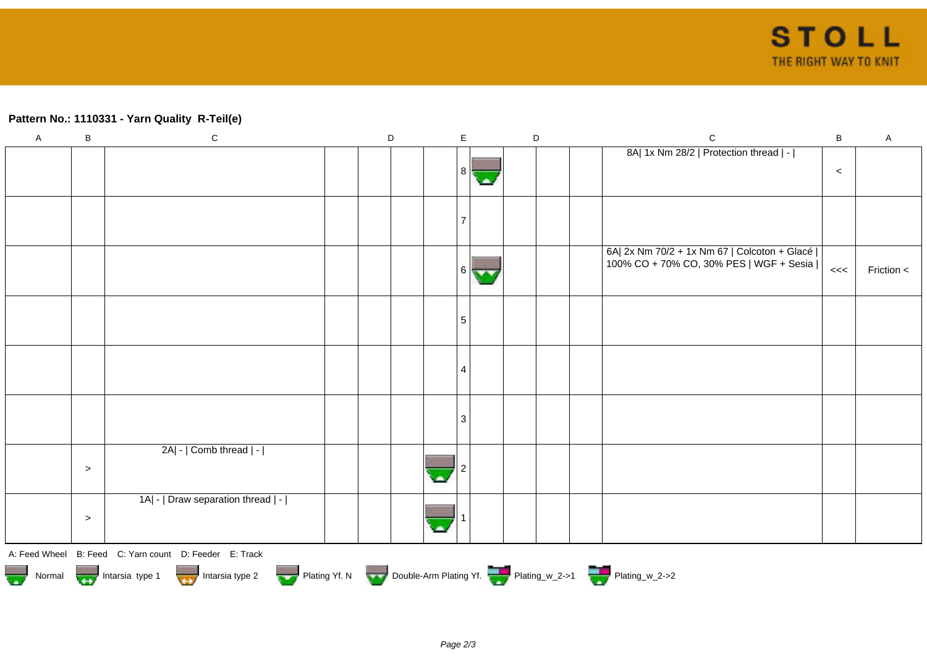## **Pattern No.: 1110331 - Yarn Quality R-Teil(e)**

| $\boldsymbol{\mathsf{A}}$ | $\sf B$ | ${\bf C}$                                                                                  | $\mathsf D$ | $\mathsf E$    |   | $\mathsf D$ | $\mathsf{C}$                                                                              | $\mathsf B$ | $\mathsf A$  |
|---------------------------|---------|--------------------------------------------------------------------------------------------|-------------|----------------|---|-------------|-------------------------------------------------------------------------------------------|-------------|--------------|
|                           |         |                                                                                            |             | 8 <sup>1</sup> |   |             | 8A  1x Nm 28/2   Protection thread   -                                                    | $\,<$       |              |
|                           |         |                                                                                            |             |                |   |             |                                                                                           |             |              |
|                           |         |                                                                                            |             |                |   |             |                                                                                           |             |              |
|                           |         |                                                                                            |             |                |   |             |                                                                                           |             |              |
|                           |         |                                                                                            |             |                | 6 |             | 6A  2x Nm 70/2 + 1x Nm 67   Colcoton + Glacé  <br>100% CO + 70% CO, 30% PES   WGF + Sesia | <<          | Friction $<$ |
|                           |         |                                                                                            |             | 5              |   |             |                                                                                           |             |              |
|                           |         |                                                                                            |             |                |   |             |                                                                                           |             |              |
|                           |         |                                                                                            |             | 4              |   |             |                                                                                           |             |              |
|                           |         |                                                                                            |             | 3              |   |             |                                                                                           |             |              |
|                           |         | 2A  -   Comb thread   -                                                                    |             |                |   |             |                                                                                           |             |              |
|                           | $\,>$   |                                                                                            |             |                |   |             |                                                                                           |             |              |
|                           |         | 1A  -   Draw separation thread   -                                                         |             |                |   |             |                                                                                           |             |              |
|                           | $\,>$   |                                                                                            |             |                |   |             |                                                                                           |             |              |
|                           |         | A: Feed Wheel B: Feed C: Yarn count D: Feeder E: Track                                     |             |                |   |             |                                                                                           |             |              |
|                           |         | Normal Montain States Intersia type 1 Intersia type 2 Plating Yf. N Double-Arm Plating Yf. |             |                |   |             |                                                                                           |             |              |